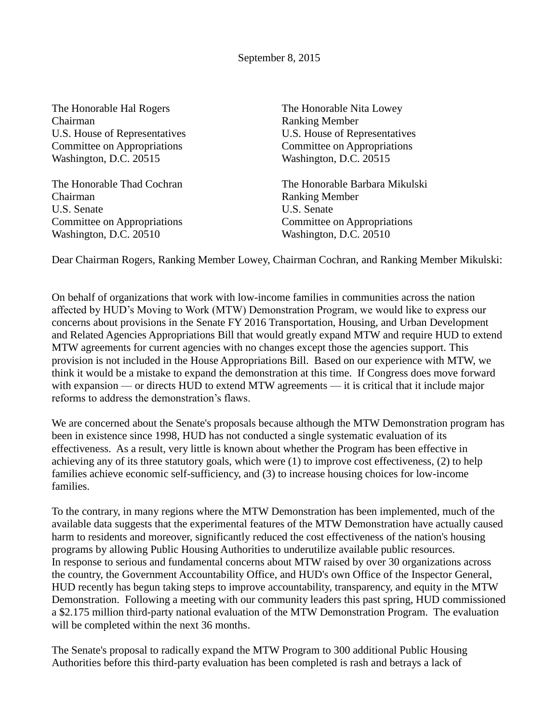The Honorable Hal Rogers The Honorable Nita Lowey Chairman Ranking Member Washington, D.C. 20515 Washington, D.C. 20515

Chairman Ranking Member U.S. Senate U.S. Senate Committee on Appropriations Committee on Appropriations Washington, D.C. 20510 Washington, D.C. 20510

U.S. House of Representatives U.S. House of Representatives Committee on Appropriations Committee on Appropriations

The Honorable Thad Cochran The Honorable Barbara Mikulski

Dear Chairman Rogers, Ranking Member Lowey, Chairman Cochran, and Ranking Member Mikulski:

On behalf of organizations that work with low-income families in communities across the nation affected by HUD's Moving to Work (MTW) Demonstration Program, we would like to express our concerns about provisions in the Senate FY 2016 Transportation, Housing, and Urban Development and Related Agencies Appropriations Bill that would greatly expand MTW and require HUD to extend MTW agreements for current agencies with no changes except those the agencies support. This provision is not included in the House Appropriations Bill. Based on our experience with MTW, we think it would be a mistake to expand the demonstration at this time. If Congress does move forward with expansion — or directs HUD to extend MTW agreements — it is critical that it include major reforms to address the demonstration's flaws.

We are concerned about the Senate's proposals because although the MTW Demonstration program has been in existence since 1998, HUD has not conducted a single systematic evaluation of its effectiveness. As a result, very little is known about whether the Program has been effective in achieving any of its three statutory goals, which were (1) to improve cost effectiveness, (2) to help families achieve economic self-sufficiency, and (3) to increase housing choices for low-income families.

To the contrary, in many regions where the MTW Demonstration has been implemented, much of the available data suggests that the experimental features of the MTW Demonstration have actually caused harm to residents and moreover, significantly reduced the cost effectiveness of the nation's housing programs by allowing Public Housing Authorities to underutilize available public resources. In response to serious and fundamental concerns about MTW raised by over 30 organizations across the country, the Government Accountability Office, and HUD's own Office of the Inspector General, HUD recently has begun taking steps to improve accountability, transparency, and equity in the MTW Demonstration. Following a meeting with our community leaders this past spring, HUD commissioned a \$2.175 million third-party national evaluation of the MTW Demonstration Program. The evaluation will be completed within the next 36 months.

The Senate's proposal to radically expand the MTW Program to 300 additional Public Housing Authorities before this third-party evaluation has been completed is rash and betrays a lack of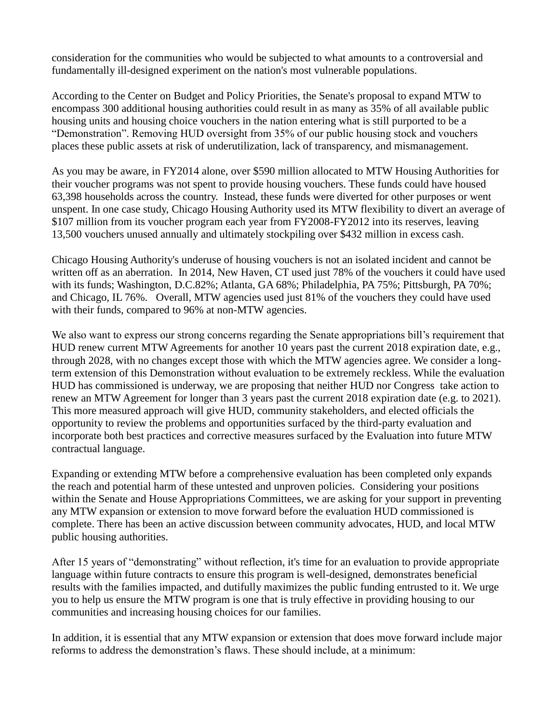consideration for the communities who would be subjected to what amounts to a controversial and fundamentally ill-designed experiment on the nation's most vulnerable populations.

According to the Center on Budget and Policy Priorities, the Senate's proposal to expand MTW to encompass 300 additional housing authorities could result in as many as 35% of all available public housing units and housing choice vouchers in the nation entering what is still purported to be a "Demonstration". Removing HUD oversight from 35% of our public housing stock and vouchers places these public assets at risk of underutilization, lack of transparency, and mismanagement.

As you may be aware, in FY2014 alone, over \$590 million allocated to MTW Housing Authorities for their voucher programs was not spent to provide housing vouchers. These funds could have housed 63,398 households across the country. Instead, these funds were diverted for other purposes or went unspent. In one case study, Chicago Housing Authority used its MTW flexibility to divert an average of \$107 million from its voucher program each year from FY2008-FY2012 into its reserves, leaving 13,500 vouchers unused annually and ultimately stockpiling over \$432 million in excess cash.

Chicago Housing Authority's underuse of housing vouchers is not an isolated incident and cannot be written off as an aberration. In 2014, New Haven, CT used just 78% of the vouchers it could have used with its funds; Washington, D.C.82%; Atlanta, GA 68%; Philadelphia, PA 75%; Pittsburgh, PA 70%; and Chicago, IL 76%. Overall, MTW agencies used just 81% of the vouchers they could have used with their funds, compared to 96% at non-MTW agencies.

We also want to express our strong concerns regarding the Senate appropriations bill's requirement that HUD renew current MTW Agreements for another 10 years past the current 2018 expiration date, e.g., through 2028, with no changes except those with which the MTW agencies agree. We consider a longterm extension of this Demonstration without evaluation to be extremely reckless. While the evaluation HUD has commissioned is underway, we are proposing that neither HUD nor Congress take action to renew an MTW Agreement for longer than 3 years past the current 2018 expiration date (e.g. to 2021). This more measured approach will give HUD, community stakeholders, and elected officials the opportunity to review the problems and opportunities surfaced by the third-party evaluation and incorporate both best practices and corrective measures surfaced by the Evaluation into future MTW contractual language.

Expanding or extending MTW before a comprehensive evaluation has been completed only expands the reach and potential harm of these untested and unproven policies. Considering your positions within the Senate and House Appropriations Committees, we are asking for your support in preventing any MTW expansion or extension to move forward before the evaluation HUD commissioned is complete. There has been an active discussion between community advocates, HUD, and local MTW public housing authorities.

After 15 years of "demonstrating" without reflection, it's time for an evaluation to provide appropriate language within future contracts to ensure this program is well-designed, demonstrates beneficial results with the families impacted, and dutifully maximizes the public funding entrusted to it. We urge you to help us ensure the MTW program is one that is truly effective in providing housing to our communities and increasing housing choices for our families.

In addition, it is essential that any MTW expansion or extension that does move forward include major reforms to address the demonstration's flaws. These should include, at a minimum: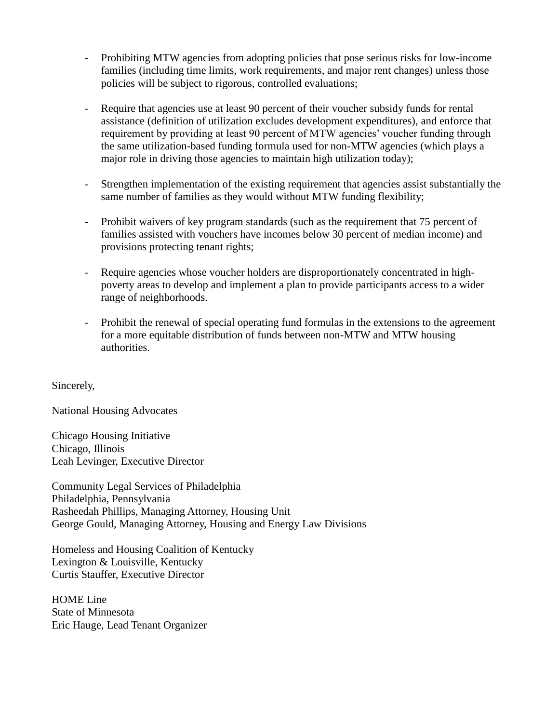- Prohibiting MTW agencies from adopting policies that pose serious risks for low-income families (including time limits, work requirements, and major rent changes) unless those policies will be subject to rigorous, controlled evaluations;
- Require that agencies use at least 90 percent of their voucher subsidy funds for rental assistance (definition of utilization excludes development expenditures), and enforce that requirement by providing at least 90 percent of MTW agencies' voucher funding through the same utilization-based funding formula used for non-MTW agencies (which plays a major role in driving those agencies to maintain high utilization today);
- Strengthen implementation of the existing requirement that agencies assist substantially the same number of families as they would without MTW funding flexibility;
- Prohibit waivers of key program standards (such as the requirement that 75 percent of families assisted with vouchers have incomes below 30 percent of median income) and provisions protecting tenant rights;
- Require agencies whose voucher holders are disproportionately concentrated in highpoverty areas to develop and implement a plan to provide participants access to a wider range of neighborhoods.
- Prohibit the renewal of special operating fund formulas in the extensions to the agreement for a more equitable distribution of funds between non-MTW and MTW housing authorities.

Sincerely,

National Housing Advocates

Chicago Housing Initiative Chicago, Illinois Leah Levinger, Executive Director

Community Legal Services of Philadelphia Philadelphia, Pennsylvania Rasheedah Phillips, Managing Attorney, Housing Unit George Gould, Managing Attorney, Housing and Energy Law Divisions

Homeless and Housing Coalition of Kentucky Lexington & Louisville, Kentucky Curtis Stauffer, Executive Director

HOME Line State of Minnesota Eric Hauge, Lead Tenant Organizer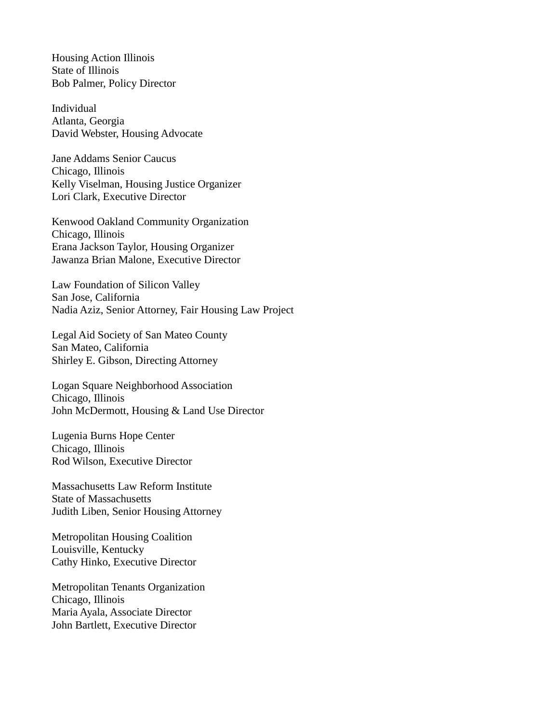Housing Action Illinois State of Illinois Bob Palmer, Policy Director

Individual Atlanta, Georgia David Webster, Housing Advocate

Jane Addams Senior Caucus Chicago, Illinois Kelly Viselman, Housing Justice Organizer Lori Clark, Executive Director

Kenwood Oakland Community Organization Chicago, Illinois Erana Jackson Taylor, Housing Organizer Jawanza Brian Malone, Executive Director

Law Foundation of Silicon Valley San Jose, California Nadia Aziz, Senior Attorney, Fair Housing Law Project

Legal Aid Society of San Mateo County San Mateo, California Shirley E. Gibson, Directing Attorney

Logan Square Neighborhood Association Chicago, Illinois John McDermott, Housing & Land Use Director

Lugenia Burns Hope Center Chicago, Illinois Rod Wilson, Executive Director

Massachusetts Law Reform Institute State of Massachusetts Judith Liben, Senior Housing Attorney

Metropolitan Housing Coalition Louisville, Kentucky Cathy Hinko, Executive Director

Metropolitan Tenants Organization Chicago, Illinois Maria Ayala, Associate Director John Bartlett, Executive Director